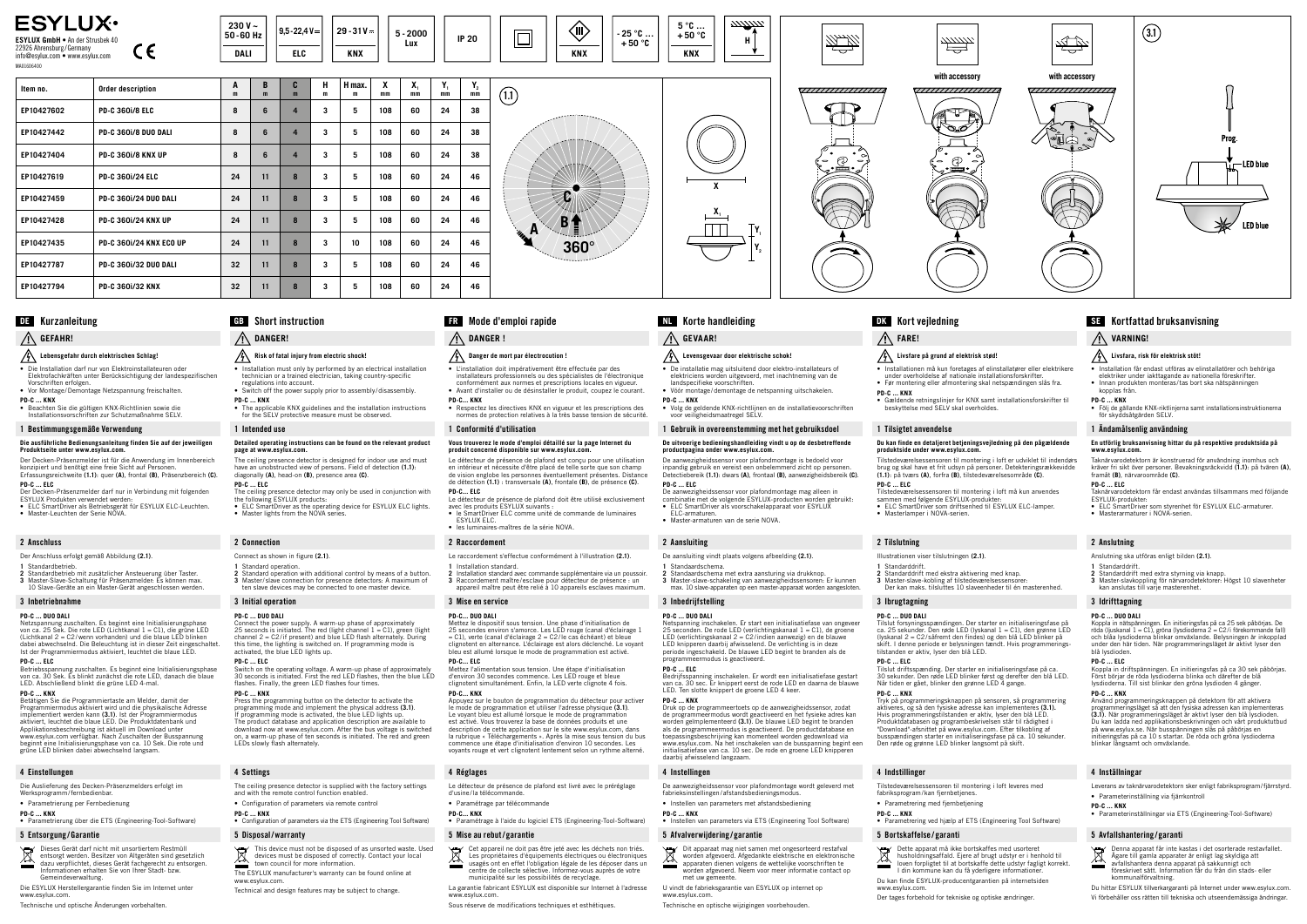

**X**

**X**<sub>1</sub>

# **GEFAHR!**

# **Lebensgefahr durch elektrischen Schlag!**

- Die Installation darf nur von Elektroinstallateuren oder Elektrofachkräften unter Berücksichtigung der landespezifischen Vorschriften erfolgen.
- Vor Montage/Demontage Netzspannung freischalten. **PD-C ... KNX**
- Beachten Sie die gültigen KNX-Richtlinien sowie die Installationsvorschriften zur Schutzmaßnahme SELV.

## 1 Bestimmungsgemäße Verwendung

Netzspannung zuschalten. Es beginnt eine Initialisierungsphase<br>von ca. 25 Sek. Die rote LED (Lichtkanal 1 = C1), die grüne LED<br>(Lichtkanal 2 = C2/wenn vorhanden) und die blaue LED blinken dabei abwechselnd. Die Beleuchtung ist in dieser Zeit eingeschaltet. Ist der Programmiermodus aktiviert, leuchtet die blaue LED.

#### **Die ausführliche Bedienungsanleitung finden Sie auf der jeweiligen Produktseite unter www.esylux.com.**

Der Decken-Präsenzmelder ist für die Anwendung im Innenbereich konzipiert und benötigt eine freie Sicht auf Personen. Erfassungsreichweite **(1.1)**: quer **(A)**, frontal **(B)**, Präsenzbereich **(C)**.

## **PD-C ... ELC**

Die Auslieferung des Decken-Präsenzmelders erfolgt im Werksprogramm/fernbedienbar

- Der Decken-Präsenzmelder darf nur in Verbindung mit folgenden ESYLUX Produkten verwendet werden:
- ELC SmartDriver als Betriebsgerät für ESYLUX ELC-Leuchten. Master-Leuchten der Serie NOVA.
	-

2 Anschluss

- Der Anschluss erfolgt gemäß Abbildung **(2.1)**.
- **1** Standardbetrieb.

**2** Standardbetrieb mit zusätzlicher Ansteuerung über Taster. **3** Master-Slave-Schaltung für Präsenzmelder: Es können max. 10 Slave-Geräte an ein Master-Gerät angeschlossen werden.

#### 3 Inbetriebnahme

#### **PD-C ... DUO DALI**

- **Risk of fatal injury from electric shock!**
- Installation must only by performed by an electrical installation technician or a trained electrician, taking country-specific regulations into account.
- Switch off the power supply prior to assembly/disassembly. **PD-C ... KNX**
- The applicable KNX guidelines and the installation instructions for the SELV protective measure must be observed. 1 Intended use

# Kurzanleitung **DE**

- Connect as shown in figure **(2.1)**.
- 
- **1** Standard operation. **2** Standard operation with additional control by means of a button. **3** Master/ slave connection for presence detectors: A maximum of ten slave devices may be connected to one master device.

#### **PD-C ... ELC**

Betriebsspannung zuschalten. Es beginnt eine Initialisierungsphase von ca. 30 Sek. Es blinkt zunächst die rote LED, danach die blaue LED. Abschließend blinkt die grüne LED 4-mal.

#### **PD-C ... KNX**

Connect the power supply. A warm-up phase of approximately<br>25 seconds is initiated. The red (light channel 1 = C1), green (light<br>channel 2 = C2/if present) and blue LED flash alternately. During this time, the lighting is switched on. If programming mode is activated, the blue LED lights up.

Switch on the operating voltage. A warm-up phase of approximately 30 seconds is initiated. First the red LED flashes, then the blue LED flashes. Finally, the green LED flashes four times.

Betätigen Sie die Programmiertaste am Melder, damit der Programmiermodus aktiviert wird und die physikalische Adresse implementiert werden kann **(3.1)**. Ist der Programmiermodus aktiviert, leuchtet die blaue LED. Die Produktdatenbank und Applikationsbeschreibung ist aktuell im Download unter www.esylux.com verfügbar. Nach Zuschalten der Busspannung beginnt eine Initialisierungsphase von ca. 10 Sek. Die rote und grüne LED blinken dabei abwechselnd langsam.

## 4 Einstellungen

# • Parametrierung per Fernbedienung

- **PD-C ... KNX**
- Parametrierung über die ETS (Engineering-Tool-Software)

# 5 Entsorgung /Garantie

Dieses Gerät darf nicht mit unsortiertem Restmüll entsorgt werden. Besitzer von Altgeräten sind gesetzlich dazu verpflichtet, dieses Gerät fachgerecht zu entsorgen. Informationen erhalten Sie von Ihrer Stadt- bzw. Gemeindeverwaltung.

Die ESYLUX Herstellergarantie finden Sie im Internet unter www.esylux.com.

Technische und optische Änderungen vorbehalten.



# **DK** Kort vejledning **SE** Kortfattad bruksanvisning

**H**

# Short instruction

# **DANGER!**

Mettez le dispositif sous tension. Une phase d'initialisation de<br>25 secondes environ s'amorce. Les LED rouge (canal d'éclairage 1<br>= C1), verte (canal d'éclairage 2 = C2/le cas échéant) et bleue clignotent en alternance. L'éclairage est alors déclenché. Le voyant bleu est allumé lorsque le mode de programmation est activé.

#### **Detailed operating instructions can be found on the relevant product page at www.esylux.com.**

The ceiling presence detector is designed for indoor use and must have an unobstructed view of persons. Field of detection **(1.1)**: diagonally **(A)**, head-on **(B)**, presence area **(C)**. **PD-C ... ELC**

- The ceiling presence detector may only be used in conjunction with the following ESYLUX products: • ELC SmartDriver as the operating device for ESYLUX ELC lights. • Master lights from the NOVA series.
- 

#### 2 Connection

## 3 Initial operation

#### **PD-C ... DUO DALI**

## **PD-C ... ELC**

## **PD-C ... KNX**

Press the programming button on the detector to activate the programming mode and implement the physical address **(3.1)**. If programming mode is activated, the blue LED lights up. The product database and application description are available to download now at www.esylux.com. After the bus voltage is switched on, a warm-up phase of ten seconds is initiated. The red and green LEDs slowly flash alternately.

Netspanning inschakelen. Er start een initialisatiefase van ongeveer<br>25 seconden. De rode LED (verlichtingskanaal 1 = C1), de groene<br>LED (verlichtingskanaal 2 = C2/indien aanwezig) en de blauwe LED knipperen daarbij afwisselend. De verlichting is in deze periode ingeschakeld. De blauwe LED begint te branden als de

4 Settings

- The ceiling presence detector is supplied with the factory settings and with the remote control function enabled.
- Configuration of parameters via remote control **PD-C ... KNX**
- Configuration of parameters via the ETS (Engineering Tool Software)

# 5 Disposal/warranty

# **DANGER !**

# **Danger de mort par électrocution !**

• L'installation doit impérativement être effectuée par des installateurs professionnels ou des spécialistes de l'électronique conformément aux normes et prescriptions locales en vigueur.

• Avant d'installer ou de désinstaller le produit, coupez le courant. **PD-C... KNX**

• Respectez les directives KNX en vigueur et les prescriptions des normes de protection relatives à la très basse tension de sécurité.

## 1 Conformité d'utilisation

# **Vous trouverez le mode d'emploi détaillé sur la page Internet du produit concerné disponible sur www.esylux.com.**

Tilslut forsyningsspændingen. Der starter en initialiseringsfase på<br>ca. 25 sekunder. Den røde LED (lyskanal 1 = C1), den grønne LED<br>(lyskanal 2 = C2/såfremt den findes) og den blå LED blinker på skift. I denne periode er belysningen tændt. Hvis programmerings-tilstanden er aktiv, lyser den blå LED.

Le détecteur de présence de plafond est conçu pour une utilisation en intérieur et nécessite d'être placé de telle sorte que son champ de vision englobe les personnes éventuellement présentes. Distance de détection **(1.1)** : transversale **(A)**, frontale **(B)**, de présence **(C)**. **PD-C... ELC**

Le détecteur de présence de plafond doit être utilisé exclusivement

Tryk på programmeringsknappen på sensoren, så programmering<br>aktiveres, og så den fysiske adresse kan implementeres **(3.1).**<br>Hvis programmeringstilstanden er aktiv, lyser den blå LED. Produktdatabasen og programbeskrivelsen står til rådighed i<br>"Download"-afsnittet på www.esylux.com. Efter tilkobling af<br>busspændingen starter en initialiseringsfase på ca. 10 sekunder. Den røde og grønne LED blinker langsomt på skift.

- avec les produits ESYLUX suivants : le SmartDriver ELC comme unité de commande de luminaires ESYLUX ELC.
- les luminaires-maîtres de la série NOVA.

fabriksprogram/kan fjernbetjenes. • Parametrering med fjernbetjening

> Dette apparat må ikke bortskaffes med usorteret husholdningsaffald. Ejere af brugt udstyr er i henhold til loven forpligtet til at bortskaffe dette udstyr fagligt korrekt. I din kommune kan du få yderligere information

#### 2 Raccordement

Le raccordement s'effectue conformément à l'illustration **(2.1)**. **1** Installation standard.

**2** Installation standard avec commande supplémentaire via un poussoir. **3** Raccordement maître /esclave pour détecteur de présence : un appareil maître peut être relié à 10 appareils esclaves maximum.

- This device must not be disposed of as unsorted waste. Used devices must be disposed of correctly. Contact your local town council for more information.
- The ESYLUX manufacturer's warranty can be found online at www.esylux.com.
- Technical and design features may be subject to change.
	- www.esylux.com.

#### 3 Mise en service

#### **PD-C... DUO DALI**

• ELC SmartDriver som styrenhet för ESYLUX ELC-armaturer. • LEG Singressiver Son, Styressing

### **PD-C... ELC**

Mettez l'alimentation sous tension. Une étape d'initialisation d'environ 30 secondes commence. Les LED rouge et bleue clignotent simultanément. Enfin, la LED verte clignote 4 fois. **PD-C... KNX**

Appuyez sur le bouton de programmation du détecteur pour activer<br>le mode de programmation et utiliser l'adresse physique **(3.1)**.<br>Le voyant bleu est allumé lorsque le mode de programmation est activé. Vous trouverez la base de données produits et une description de cette application sur le site www.esylux.com, dans la rubrique « Téléchargements ». Après la mise sous tension du bus commence une étape d'initialisation d'environ 10 secondes. Les commence and etape a initialization a chill of 10 secondes.<br>voyants rouge et vert clignotent lentement selon un rythme a

Koppla in nätspänningen. En initieringsfas på ca 25 sek påbörjas. De<br>röda (ljuskanal 1 = C1), gröna (lysdioderna 2 = C2/i förekommande fall)<br>och blåa Iysdioderna blinkar omväxlande. Belysningen är inkopplad under den här tiden. När programmeringsläget är aktivt lyser den blå lysdioden.

Använd programmeringsknappen på detektorn för att aktivera<br>programmeringsläget så att den fysiska adressen kan implementeras<br>**(3.1)**. När programmeringsläget är aktivt lyser den blå lysdioden. Du kan ladda ned applikationsbeskrivningen och vårt produktutbud på www.esylux.se. När busspänningen slås på påbörjas en initieringsfas på ca 10 s startar. De röda och gröna lysdioderna blinkar långsamt och omväxlande.

### 4 Réglages

- Le détecteur de présence de plafond est livré avec le préréglage d'usine /la télécommande.
- Paramétrage par télécommande
- **PD-C... KNX** • Paramétrage à l'aide du logiciel ETS (Engineering-Tool-Software)

| <b>ESYLUX<sup>.</sup></b><br>ESYLUX GmbH . An der Strusbek 40<br>22926 Ahrensburg/Germany<br>CE<br>info@esylux.com • www.esylux.com<br>MA01606400 |                                | 230 V $\sim$<br>50-60 Hz<br><b>DALI</b> |        | $9,5 - 22,4V =$<br><b>ELC</b> |        | $29 - 31V =$<br><b>KNX</b> |         | $5 - 2000$<br><b>Lux</b> |          | <b>IP 20</b>              | (III)<br>.25 °C<br>$+50 °C$<br><b>KNX</b>            | $5^{\circ}$ C<br>$+50°$<br><b>KNX</b> |
|---------------------------------------------------------------------------------------------------------------------------------------------------|--------------------------------|-----------------------------------------|--------|-------------------------------|--------|----------------------------|---------|--------------------------|----------|---------------------------|------------------------------------------------------|---------------------------------------|
| Item no.                                                                                                                                          | Order description              | A<br>m                                  | B<br>m | C<br>m                        | н<br>m | H max.<br>m                | X<br>mm | X,<br>mm                 | Y,<br>mm | $\mathbf{Y}_{_{2}}$<br>mm | (1.1)                                                |                                       |
| EP10427602                                                                                                                                        | <b>PD-C 360i/8 ELC</b>         | 8                                       | 6      | $\overline{4}$                | 3      | 5                          | 108     | 60                       | 24       | 38                        | Ø<br>B<br>$\mathbf{A}$<br><b>HIRE</b><br>$360^\circ$ |                                       |
| EP10427442                                                                                                                                        | <b>PD-C 3601/8 DUO DALI</b>    | 8                                       | 6      | $\overline{4}$                | 3      | 5                          | 108     | 60                       | 24       | 38                        |                                                      |                                       |
| EP10427404                                                                                                                                        | <b>PD-C 360i/8 KNX UP</b>      | 8                                       | 6      | $\overline{4}$                | 3      | 5                          | 108     | 60                       | 24       | 38                        |                                                      |                                       |
| EP10427619                                                                                                                                        | <b>PD-C 360i/24 ELC</b>        | 24                                      | 11     | 8                             | 3      | 5                          | 108     | 60                       | 24       | 46                        |                                                      |                                       |
| EP10427459                                                                                                                                        | <b>PD-C 360i/24 DUO DALI</b>   | 24                                      | 11     | 8                             | 3      | 5                          | 108     | 60                       | 24       | 46                        |                                                      |                                       |
| EP10427428                                                                                                                                        | <b>PD-C 360i/24 KNX UP</b>     | 24                                      | 11     | 8                             | 3      | 5                          | 108     | 60                       | 24       | 46                        |                                                      |                                       |
| EP10427435                                                                                                                                        | <b>PD-C 3601/24 KNX ECO UP</b> | 24                                      | 11     | 8                             | 3      | 10                         | 108     | 60                       | 24       | 46                        |                                                      | $\overline{}$                         |
| EP10427787                                                                                                                                        | <b>PD-C 360i/32 DUO DALI</b>   | 32                                      | 11     | 8                             | 3      | 5                          | 108     | 60                       | 24       | 46                        |                                                      |                                       |
| EP10427794                                                                                                                                        | <b>PD-C 360i/32 KNX</b>        | 32                                      | 11     | 8                             | 3      | 5                          | 108     | 60                       | 24       | 46                        |                                                      |                                       |

#### 5 Mise au rebut/ garantie

- Cet appareil ne doit pas être jeté avec les déchets non triés. Les propriétaires d'équipements électriques ou électroniques usagés ont en effet l'obligation légale de les déposer dans un
- centre de collecte sélective. Informez-vous auprès de votre municipalité sur les possibilités de recyclage. La garantie fabricant ESYLUX est disponible sur Internet à l'adresse
- Sous réserve de modifications techniques et esthétiques.

#### **GB** Mode d'emploi rapide **FR** Korte handleiding **NL** Kort vejledning

# **GEVAAR! Levensgevaar door elektrische schok!**

• De installatie mag uitsluitend door elektro-installateurs of elektriciens worden uitgevoerd, met inachtneming van de landspecifieke voorschriften. • Vóór montage/demontage de netspanning uitschakelen.

**PD-C ... KNX**

• Volg de geldende KNX-richtlijnen en de installatievoorschriften voor veiligheidsmaatregel SELV. 1 Gebruik in overeenstemming met het gebruiksdoel **De uitvoerige bedieningshandleiding vindt u op de desbetreffende** 

**productpagina onder www.esylux.com.**

De aanwezigheidssensor voor plafondmontage is bedoeld voor inpandig gebruik en vereist een onbelemmerd zicht op personen. Detectiebereik **(1.1)**: dwars **(A)**, frontaal **(B)**, aanwezigheidsbereik **(C)**.

**PD-C ... ELC**

De aanwezigheidssensor voor plafondmontage mag alleen in combinatie met de volgende ESYLUX-producten worden gebruikt: • ELC SmartDriver als voorschakelapparaat voor ESYLUX

 $\mathbf{Y}_1$ **Y**<sub>2</sub>

ELC-armaturen.

• Master-armaturen van de serie NOVA.

2 Aansluiting

De aansluiting vindt plaats volgens afbeelding **(2.1)**.

**1** Standaardschema.

**2** Standaardschema met extra aansturing via drukknop. **3** Master-slave-schakeling van aanwezigheidssensoren: Er kunnen max. 10 slave-apparaten op een master-apparaat worden aangesloten.

3 Inbedrijfstelling **PD-C ... DUO DALI**

programmeermodus is geactiveerd.

**PD-C ... ELC**

Bedrijfsspanning inschakelen. Er wordt een initialisatiefase gestart van ca. 30 sec. Er knippert eerst de rode LED en daarna de blauwe LED. Ten slotte knippert de groene LED 4 keer.

**PD-C ... KNX**

Druk op de programmeertoets op de aanwezigheidssensor, zodat de programmeermodus wordt geactiveerd en het fysieke adres kan worden geïmplementeerd **(3.1)**. De blauwe LED begint te branden<br>als de programmeermodus is geactiveerd. De productdatabase en<br>toepassingsbeschrijving kan momenteel worden gedownload via www.esylux.com. Na het inschakelen van de busspanning begint een initialisatiefase van ca. 10 sec. De rode en groene LED knipperen daarbij afwisselend langzaam.

4 Instellingen

De aanwezigheidssensor voor plafondmontage wordt geleverd met

fabrieksinstellingen/ afstandsbedieningsmodus. • Instellen van parameters met afstandsbediening

**PD-C ... KNX**

• Instellen van parameters via ETS (Engineering Tool Software)

5 Afvalverwijdering / garantie

Dit apparaat mag niet samen met ongesorteerd restafval worden afgevoerd. Afgedankte elektrische en elektronische apparaten dienen volgens de wettelijke voorschriften te worden afgevoerd. Neem voor meer informatie contact op

met uw gemeente.

U vindt de fabrieksgarantie van ESYLUX op internet op

www.esylux.com.

Technische en optische wijzigingen voorbehouden.

**FARE!**

# **Livsfare på grund af elektrisk stød!**

• Installationen må kun foretages af elinstallatører eller elektrikere under overholdelse af nationale installationsforskrifter. • Før montering eller afmontering skal netspændingen slås fra.

**PD-C ... KNX**

• Gældende retningslinjer for KNX samt installationsforskrifter til beskyttelse med SELV skal overholdes.

1 Tilsigtet anvendelse

# **Du kan finde en detaljeret betjeningsvejledning på den pågældende produktside under www.esylux.com.**

Tilstedeværelsessensoren til montering i loft er udviklet til indendørs brug og skal have et frit udsyn på personer. Detekteringsrækkevidde **(1.1)**: på tværs **(A)**, forfra **(B)**, tilstedeværelsesområde **(C)**.

**PD-C ... ELC**

Tilstedeværelsessensoren til montering i loft må kun anvendes sammen med følgende ESYLUX-produkter: • ELC SmartDriver som driftsenhed til ESYLUX ELC-lamper. • Masterlamper i NOVA-serien.

2 Tilslutning

Illustrationen viser tilslutningen **(2.1)**.

**1** Standarddrift.

**2** Standarddrift med ekstra aktivering med knap. **3** Master-slave-kobling af tilstedeværelsessensorer: Der kan maks. tilsluttes 10 slaveenheder til én masterenhed.

3 Ibrugtagning **PD-C ... DUO DALI**

**PD-C ... ELC**

**PD-C ... KNX** 

Tilslut driftsspænding. Der starter en initialiseringsfase på ca. 30 sekunder. Den røde LED blinker først og derefter den blå LED. Når tiden er gået, blinker den grønne LED 4 gange.

4 Indstillinger

**PD-C ... KNX** 

<u>in mi</u>

Tilstedeværelsessensoren til montering i loft leveres med

• Parametrering ved hjælp af ETS (Engineering Tool Software)

5 Bortskaffelse / garanti

Du kan finde ESYLUX-producentgarantien på internetsiden

www.esylux.com.

Der tages forbehold for tekniske og optiske ændringer.

# **VARNING!**

# **Livsfara, risk för elektrisk stöt!**

- Installation får endast utföras av elinstallatörer och behöriga elektriker under iakttagande av nationella föreskrifte
- Innan produkten monteras /tas bort ska nätspänningen kopplas från.

**PD-C ... KNX** • Följ de gällande KNX-riktlinjerna samt installationsinstruktionerna för skyddsåtgärden SELV.

## 1 Ändamålsenlig användning

#### **En utförlig bruksanvisning hittar du på respektive produktsida på www.esylux.com.**

Taknärvarodetektorn är konstruerad för användning inomhus och kräver fri sikt över personer. Bevakningsräckvidd **(1.1)**: på tvären **(A)**, framåt **(B)**, närvaroområde **(C)**.

#### **PD-C ... ELC**

Taknärvarodetektorn får endast användas tillsammans med följande ESYLUX-produkter:

## 2 Anslutning

Anslutning ska utföras enligt bilden **(2.1)**.

#### **1** Standarddrift.

- **2** Standarddrift med extra styrning via knapp.
- **3** Master-slavkoppling för närvarodetektorer: Högst 10 slavenheter kan anslutas till varje masterenhet.

#### 3 Idrifttagning

### **PD-C ... DUO DALI**

#### **PD-C ... ELC**

Koppla in driftspänningen. En initieringsfas på ca 30 sek påbörjas. Först börjar de röda lysdioderna blinka och därefter de blå lysdioderna. Till sist blinkar den gröna lysdioden 4 gånger.

#### **PD-C ... KNX**

#### 4 Inställningar

Leverans av taknärvarodetektorn sker enligt fabriksprogram/fjärrstyrd. • Parameterinställning via fjärrkontroll

**PD-C ... KNX**

• Parameterinställningar via ETS (Engineering-Tool-Software)

# 5 Avfallshantering / garanti



Denna apparat får inte kastas i det osorterade restavfallet. Ägare till gamla apparater är enligt lag skyldiga att avfallshantera denna apparat på sakkunnigt och föreskrivet sätt. Information får du från din stads- eller kommunalförvaltning.

Du hittar ESYLUX tillverkargaranti på Internet under www.esylux.com. Vi förbehåller oss rätten till tekniska och utseendemässiga ändringar.

**5 °C … + 50 °C**